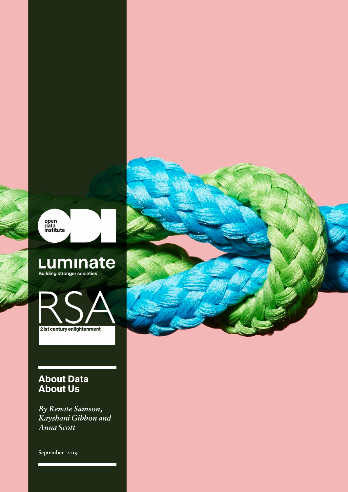





# **About Data About Us**

*By Renate Samson, Kayshani Gibbon and Anna Scott*

About Data About Us **1** 

**September 2019**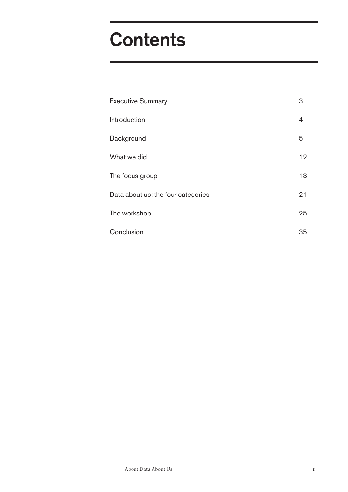# **Contents**

| <b>Executive Summary</b>           | 3  |
|------------------------------------|----|
| Introduction                       | 4  |
| Background                         | 5  |
| What we did                        | 12 |
| The focus group                    | 13 |
| Data about us: the four categories | 21 |
| The workshop                       | 25 |
| Conclusion                         | 35 |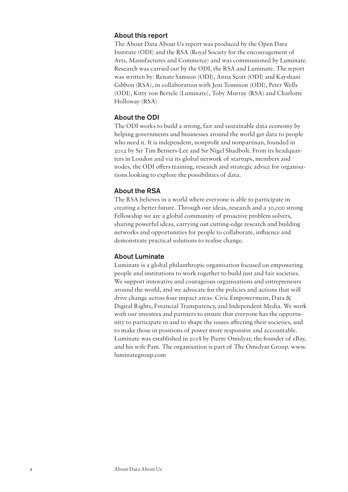# About this report

The About Data About Us report was produced by the Open Data Institute (ODI) and the RSA (Royal Society for the encouragement of Arts, Manufactures and Commerce) and was commissioned by Luminate. Research was carried out by the ODI, the RSA and Luminate. The report was written by: Renate Samson (ODI), Anna Scott (ODI) and Kayshani Gibbon (RSA), in collaboration with Jeni Tennison (ODI), Peter Wells (ODI), Kitty von Bertele (Luminate), Toby Murray (RSA) and Charlotte Holloway (RSA)

# About the ODI

The ODI works to build a strong, fair and sustainable data economy by helping governments and businesses around the world get data to people who need it. It is independent, nonprofit and nonpartisan, founded in 2012 by Sir Tim Berners-Lee and Sir Nigel Shadbolt. From its headquarters in London and via its global network of startups, members and nodes, the ODI offers training, research and strategic advice for organisations looking to explore the possibilities of data.

# About the RSA

The RSA believes in a world where everyone is able to participate in creating a better future. Through our ideas, research and a 30,000 strong Fellowship we are a global community of proactive problem solvers, sharing powerful ideas, carrying out cutting-edge research and building networks and opportunities for people to collaborate, influence and demonstrate practical solutions to realise change.

# About Luminate

Luminate is a global philanthropic organisation focused on empowering people and institutions to work together to build just and fair societies. We support innovative and courageous organisations and entrepreneurs around the world, and we advocate for the policies and actions that will drive change across four impact areas: Civic Empowerment, Data & Digital Rights, Financial Transparency, and Independent Media. We work with our investees and partners to ensure that everyone has the opportunity to participate in and to shape the issues affecting their societies, and to make those in positions of power more responsive and accountable. Luminate was established in 2018 by Pierre Omidyar, the founder of eBay, and his wife Pam. The organisation is part of The Omidyar Group. www. luminategroup.com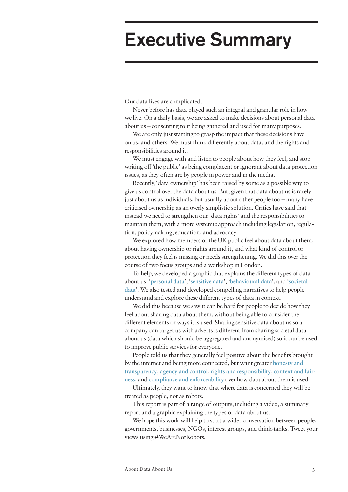# Executive Summary

Our data lives are complicated.

Never before has data played such an integral and granular role in how we live. On a daily basis, we are asked to make decisions about personal data about us – consenting to it being gathered and used for many purposes.

We are only just starting to grasp the impact that these decisions have on us, and others. We must think differently about data, and the rights and responsibilities around it.

We must engage with and listen to people about how they feel, and stop writing off 'the public' as being complacent or ignorant about data protection issues, as they often are by people in power and in the media.

Recently, 'data ownership' has been raised by some as a possible way to give us control over the data about us. But, given that data about us is rarely just about us as individuals, but usually about other people too – many have criticised ownership as an overly simplistic solution. Critics have said that instead we need to strengthen our 'data rights' and the responsibilities to maintain them, with a more systemic approach including legislation, regulation, policymaking, education, and advocacy.

We explored how members of the UK public feel about data about them, about having ownership or rights around it, and what kind of control or protection they feel is missing or needs strengthening. We did this over the course of two focus groups and a workshop in London.

To help, we developed a graphic that explains the different types of data about us: '**personal data**', '**sensitive data**', '**behavioural data**', and '**societal data**'. We also tested and developed compelling narratives to help people understand and explore these different types of data in context.

We did this because we saw it can be hard for people to decide how they feel about sharing data about them, without being able to consider the different elements or ways it is used. Sharing sensitive data about us so a company can target us with adverts is different from sharing societal data about us (data which should be aggregated and anonymised) so it can be used to improve public services for everyone.

People told us that they generally feel positive about the benefits brought by the internet and being more connected, but want greater **honesty and transparency**, **agency and control**, **rights and responsibility**, **context and fairness**, and **compliance and enforceability** over how data about them is used.

Ultimately, they want to know that where data is concerned they will be treated as people, not as robots.

This report is part of a range of outputs, including a video, a summary report and a graphic explaining the types of data about us.

We hope this work will help to start a wider conversation between people, governments, businesses, NGOs, interest groups, and think-tanks. Tweet your views using #WeAreNotRobots.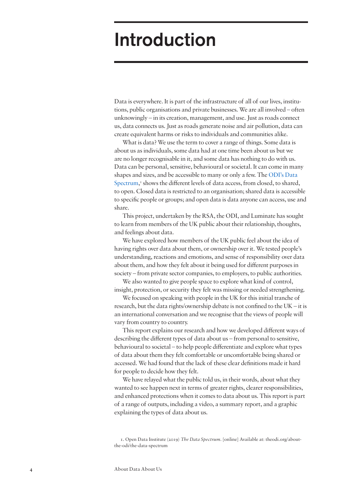# Introduction

Data is everywhere. It is part of the infrastructure of all of our lives, institutions, public organisations and private businesses. We are all involved – often unknowingly – in its creation, management, and use. Just as roads connect us, data connects us. Just as roads generate noise and air pollution, data can create equivalent harms or risks to individuals and communities alike.

What is data? We use the term to cover a range of things. Some data is about us as individuals, some data had at one time been about us but we are no longer recognisable in it, and some data has nothing to do with us. Data can be personal, sensitive, behavioural or societal. It can come in many shapes and sizes, and be accessible to many or only a few. The ODI's Data Spectrum,<sup>1</sup> shows the different levels of data access, from closed, to shared, to open. Closed data is restricted to an organisation; shared data is accessible to specific people or groups; and open data is data anyone can access, use and share.

This project, undertaken by the RSA, the ODI, and Luminate has sought to learn from members of the UK public about their relationship, thoughts, and feelings about data.

We have explored how members of the UK public feel about the idea of having rights over data about them, or ownership over it. We tested people's understanding, reactions and emotions, and sense of responsibility over data about them, and how they felt about it being used for different purposes in society – from private sector companies, to employers, to public authorities.

We also wanted to give people space to explore what kind of control, insight, protection, or security they felt was missing or needed strengthening.

We focused on speaking with people in the UK for this initial tranche of research, but the data rights/ownership debate is not confined to the UK – it is an international conversation and we recognise that the views of people will vary from country to country.

This report explains our research and how we developed different ways of describing the different types of data about us – from personal to sensitive, behavioural to societal – to help people differentiate and explore what types of data about them they felt comfortable or uncomfortable being shared or accessed. We had found that the lack of these clear definitions made it hard for people to decide how they felt.

We have relayed what the public told us, in their words, about what they wanted to see happen next in terms of greater rights, clearer responsibilities, and enhanced protections when it comes to data about us. This report is part of a range of outputs, including a video, a summary report, and a graphic explaining the types of data about us.

<sup>1.</sup> Open Data Institute (2019) *The Data Spectrum.* [online] Available at: theodi.org/aboutthe-odi/the-data-spectrum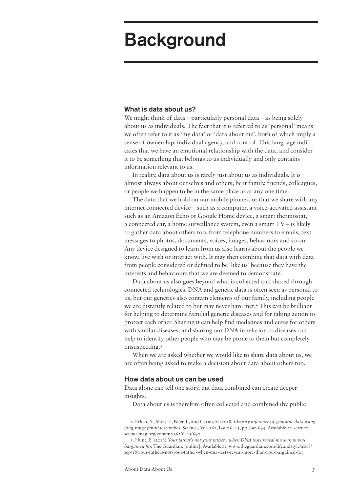# **Background**

### What is data about us?

We might think of data – particularly personal data – as being solely about us as individuals. The fact that it is referred to as 'personal' means we often refer to it as 'my data' or 'data about me', both of which imply a sense of ownership, individual agency, and control. This language indicates that we have an emotional relationship with the data, and consider it to be something that belongs to us individually and only contains information relevant to us.

In reality, data about us is rarely just about us as individuals. It is almost always about ourselves and others; be it family, friends, colleagues, or people we happen to be in the same place as at any one time.

The data that we hold on our mobile phones, or that we share with any internet connected device – such as a computer, a voice-activated assistant such as an Amazon Echo or Google Home device, a smart thermostat, a connected car, a home surveillance system, even a smart TV – is likely to gather data about others too, from telephone numbers to emails, text messages to photos, documents, voices, images, behaviours and so on. Any device designed to learn from us also learns about the people we know, live with or interact with. It may then combine that data with data from people considered or defined to be 'like us' because they have the interests and behaviours that we are deemed to demonstrate.

Data about us also goes beyond what is collected and shared through connected technologies. DNA and genetic data is often seen as personal to us, but our genetics also contain elements of our family, including people we are distantly related to but may never have met.<sup>2</sup> This can be brilliant for helping to determine familial genetic diseases and for taking action to protect each other. Sharing it can help find medicines and cures for others with similar diseases, and sharing our DNA in relation to diseases can help to identify other people who may be prone to them but completely unsuspecting.<sup>3</sup>

When we are asked whether we would like to share data about us, we are often being asked to make a decision about data about others too.

## How data about us can be used

Data alone can tell one story, but data combined can create deeper insights.

Data about us is therefore often collected and combined (by public

<sup>2.</sup> Erlich, Y., Shor, T., Pe'er, I., and Carmi, S. (2018) *Identity inference of genomic data using long-range familial searches*. Science, Vol. 362, Issue 6415, pp. 690-694. Available at: science. sciencemag.org/content/362/6415/690

<sup>3.</sup> Hunt, E. (2018) *Your father's not your father': when DNA tests reveal more than you bargained for.* The Guardian. [online]. Available at: www.theguardian.com/lifeandstyle/2018/ sep/18/your-fathers-not-your-father-when-dna-tests-reveal-more-than-you-bargained-for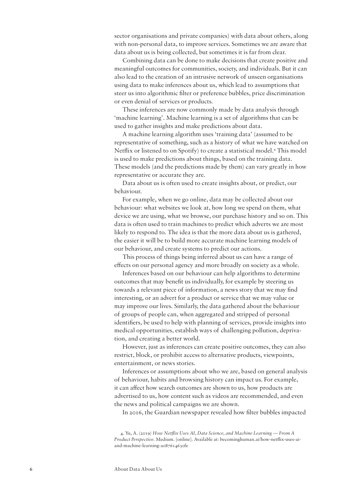sector organisations and private companies) with data about others, along with non-personal data, to improve services. Sometimes we are aware that data about us is being collected, but sometimes it is far from clear.

Combining data can be done to make decisions that create positive and meaningful outcomes for communities, society, and individuals. But it can also lead to the creation of an intrusive network of unseen organisations using data to make inferences about us, which lead to assumptions that steer us into algorithmic filter or preference bubbles, price discrimination or even denial of services or products.

These inferences are now commonly made by data analysis through 'machine learning'. Machine learning is a set of algorithms that can be used to gather insights and make predictions about data.

A machine learning algorithm uses 'training data' (assumed to be representative of something, such as a history of what we have watched on Netflix or listened to on Spotify) to create a statistical model.<sup>4</sup> This model is used to make predictions about things, based on the training data. These models (and the predictions made by them) can vary greatly in how representative or accurate they are.

Data about us is often used to create insights about, or predict, our behaviour.

For example, when we go online, data may be collected about our behaviour: what websites we look at, how long we spend on them, what device we are using, what we browse, our purchase history and so on. This data is often used to train machines to predict which adverts we are most likely to respond to. The idea is that the more data about us is gathered, the easier it will be to build more accurate machine learning models of our behaviour, and create systems to predict our actions.

This process of things being inferred about us can have a range of effects on our personal agency and more broadly on society as a whole.

Inferences based on our behaviour can help algorithms to determine outcomes that may benefit us individually, for example by steering us towards a relevant piece of information, a news story that we may find interesting, or an advert for a product or service that we may value or may improve our lives. Similarly, the data gathered about the behaviour of groups of people can, when aggregated and stripped of personal identifiers, be used to help with planning of services, provide insights into medical opportunities, establish ways of challenging pollution, deprivation, and creating a better world.

However, just as inferences can create positive outcomes, they can also restrict, block, or prohibit access to alternative products, viewpoints, entertainment, or news stories.

Inferences or assumptions about who we are, based on general analysis of behaviour, habits and browsing history can impact us. For example, it can affect how search outcomes are shown to us, how products are advertised to us, how content such as videos are recommended, and even the news and political campaigns we are shown.

In 2016, the Guardian newspaper revealed how filter bubbles impacted

<sup>4.</sup> Yu, A. (2019) *How Netflix Uses AI, Data Science, and Machine Learning — From A Product Perspective.* Medium. [online]. Available at: becominghuman.ai/how-netflix-uses-aiand-machine-learning-a087614630fe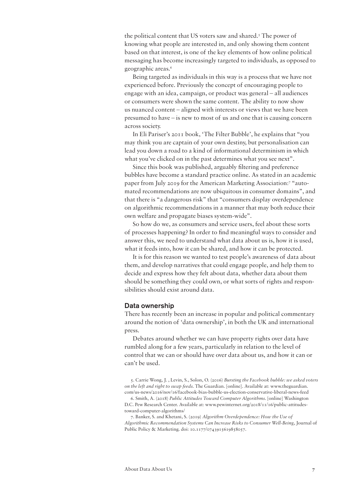the political content that US voters saw and shared.5 The power of knowing what people are interested in, and only showing them content based on that interest, is one of the key elements of how online political messaging has become increasingly targeted to individuals, as opposed to geographic areas.<sup>6</sup>

Being targeted as individuals in this way is a process that we have not experienced before. Previously the concept of encouraging people to engage with an idea, campaign, or product was general – all audiences or consumers were shown the same content. The ability to now show us nuanced content – aligned with interests or views that we have been presumed to have – is new to most of us and one that is causing concern across society.

In Eli Pariser's 2011 book, 'The Filter Bubble', he explains that "you may think you are captain of your own destiny, but personalisation can lead you down a road to a kind of informational determinism in which what you've clicked on in the past determines what you see next".

Since this book was published, arguably filtering and preference bubbles have become a standard practice online. As stated in an academic paper from July 2019 for the American Marketing Association:7 "automated recommendations are now ubiquitous in consumer domains", and that there is "a dangerous risk" that "consumers display overdependence on algorithmic recommendations in a manner that may both reduce their own welfare and propagate biases system-wide".

So how do we, as consumers and service users, feel about these sorts of processes happening? In order to find meaningful ways to consider and answer this, we need to understand what data about us is, how it is used, what it feeds into, how it can be shared, and how it can be protected.

It is for this reason we wanted to test people's awareness of data about them, and develop narratives that could engage people, and help them to decide and express how they felt about data, whether data about them should be something they could own, or what sorts of rights and responsibilities should exist around data.

### Data ownership

There has recently been an increase in popular and political commentary around the notion of 'data ownership', in both the UK and international press.

Debates around whether we can have property rights over data have rumbled along for a few years, particularly in relation to the level of control that we can or should have over data about us, and how it can or can't be used.

5. Carrie Wong, J. , Levin, S., Solon, O. (2016) *Bursting the Facebook bubble: we asked voters on the left and right to swap feeds.* The Guardian. [online]. Available at: www.theguardian. com/us-news/2016/nov/16/facebook-bias-bubble-us-election-conservative-liberal-news-feed

6. Smith, A. (2018) *Public Attitudes Toward Computer Algorithms.* [online] Washington D.C. Pew Research Center. Available at: www.pewinternet.org/2018/11/16/public-attitudestoward-computer-algorithms/

7. Banker, S. and Khetani, S. (2019) *Algorithm Overdependence: How the Use of Algorithmic Recommendation Systems Can Increase Risks to Consumer Well-Being*, Journal of Public Policy & Marketing. doi: 10.1177/0743915619858057.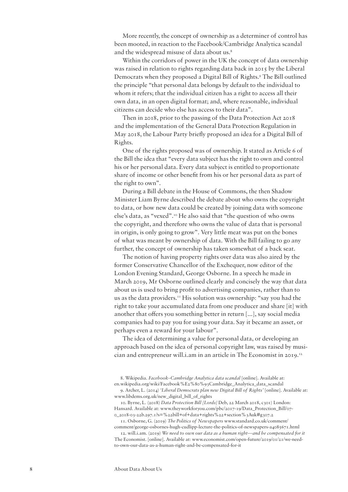More recently, the concept of ownership as a determiner of control has been mooted, in reaction to the Facebook/Cambridge Analytica scandal and the widespread misuse of data about us.<sup>8</sup>

Within the corridors of power in the UK the concept of data ownership was raised in relation to rights regarding data back in 2015 by the Liberal Democrats when they proposed a Digital Bill of Rights.9 The Bill outlined the principle "that personal data belongs by default to the individual to whom it refers; that the individual citizen has a right to access all their own data, in an open digital format; and, where reasonable, individual citizens can decide who else has access to their data".

Then in 2018, prior to the passing of the Data Protection Act 2018 and the implementation of the General Data Protection Regulation in May 2018, the Labour Party briefly proposed an idea for a Digital Bill of Rights.

One of the rights proposed was of ownership. It stated as Article 6 of the Bill the idea that "every data subject has the right to own and control his or her personal data. Every data subject is entitled to proportionate share of income or other benefit from his or her personal data as part of the right to own".

During a Bill debate in the House of Commons, the then Shadow Minister Liam Byrne described the debate about who owns the copyright to data, or how new data could be created by joining data with someone else's data, as "vexed".10 He also said that "the question of who owns the copyright, and therefore who owns the value of data that is personal in origin, is only going to grow". Very little meat was put on the bones of what was meant by ownership of data. With the Bill failing to go any further, the concept of ownership has taken somewhat of a back seat.

The notion of having property rights over data was also aired by the former Conservative Chancellor of the Exchequer, now editor of the London Evening Standard, George Osborne. In a speech he made in March 2019, Mr Osborne outlined clearly and concisely the way that data about us is used to bring profit to advertising companies, rather than to us as the data providers.11 His solution was ownership: "say you had the right to take your accumulated data from one producer and share [it] with another that offers you something better in return [...], say social media companies had to pay you for using your data. Say it became an asset, or perhaps even a reward for your labour".

The idea of determining a value for personal data, or developing an approach based on the idea of personal copyright law, was raised by musician and entrepreneur will.i.am in an article in The Economist in 2019.12

10. Byrne, L. (2018) *Data Protection Bill [Lords]* Deb, 22 March 2018, c301) London: Hansard. Available at: www.theyworkforyou.com/pbc/2017-19/Data\_Protection\_Bill/07- 0\_2018-03-22b.297.1?s=%22bill+of+data+rights%22+section%3Auk#g307.2

11. Osborne, G. (2019) *The Politics of Newspapers* www.standard.co.uk/comment/ comment/george-osbornes-hugh-cudlipp-lecture-the-politics-of-newspapers-a4085671.html

12. will.i.am. (2019) *We need to own our data as a human right—and be compensated for it*  The Economist. [online]. Available at: www.economist.com/open-future/2019/01/21/we-needto-own-our-data-as-a-human-right-and-be-compensated-for-it

<sup>8.</sup> Wikipedia. *Facebook–Cambridge Analytica data scandal* [online]. Available at: en.wikipedia.org/wiki/Facebook%E2%80%93Cambridge\_Analytica\_data\_scandal

<sup>9.</sup> Archer, L. (2014) *'Liberal Democrats plan new Digital Bill of Rights'* [online]. Available at: www.libdems.org.uk/new\_digital\_bill\_of\_rights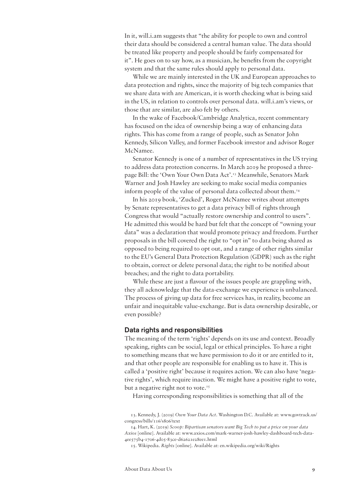In it, will.i.am suggests that "the ability for people to own and control their data should be considered a central human value. The data should be treated like property and people should be fairly compensated for it". He goes on to say how, as a musician, he benefits from the copyright system and that the same rules should apply to personal data.

While we are mainly interested in the UK and European approaches to data protection and rights, since the majority of big tech companies that we share data with are American, it is worth checking what is being said in the US, in relation to controls over personal data. will.i.am's views, or those that are similar, are also felt by others.

In the wake of Facebook/Cambridge Analytica, recent commentary has focused on the idea of ownership being a way of enhancing data rights. This has come from a range of people, such as Senator John Kennedy, Silicon Valley, and former Facebook investor and advisor Roger McNamee.

Senator Kennedy is one of a number of representatives in the US trying to address data protection concerns. In March 2019 he proposed a threepage Bill: the 'Own Your Own Data Act'.13 Meanwhile, Senators Mark Warner and Josh Hawley are seeking to make social media companies inform people of the value of personal data collected about them.<sup>14</sup>

In his 2019 book, 'Zucked', Roger McNamee writes about attempts by Senate representatives to get a data privacy bill of rights through Congress that would "actually restore ownership and control to users". He admitted this would be hard but felt that the concept of "owning your data" was a declaration that would promote privacy and freedom. Further proposals in the bill covered the right to "opt in" to data being shared as opposed to being required to opt out, and a range of other rights similar to the EU's General Data Protection Regulation (GDPR) such as the right to obtain, correct or delete personal data; the right to be notified about breaches; and the right to data portability.

While these are just a flavour of the issues people are grappling with, they all acknowledge that the data-exchange we experience is unbalanced. The process of giving up data for free services has, in reality, become an unfair and inequitable value-exchange. But is data ownership desirable, or even possible?

### Data rights and responsibilities

The meaning of the term 'rights' depends on its use and context. Broadly speaking, rights can be social, legal or ethical principles. To have a right to something means that we have permission to do it or are entitled to it, and that other people are responsible for enabling us to have it. This is called a 'positive right' because it requires action. We can also have 'negative rights', which require inaction. We might have a positive right to vote, but a negative right not to vote.<sup>15</sup>

Having corresponding responsibilities is something that all of the

<sup>13.</sup> Kennedy, J. (2019) *Own Your Data Act.* Washington D.C. Available at: www.govtrack.us/ congress/bills/116/s806/text

<sup>14.</sup> Hart, K. (2019) *Scoop: Bipartisan senators want Big Tech to put a price on your data Axios* [online]. Available at: www.axios.com/mark-warner-josh-hawley-dashboard-tech-data-4ee575b4-1706-4d05-83ce-d62621e28ee1.html

<sup>15.</sup> Wikipedia. *Rights* [online]. Available at: en.wikipedia.org/wiki/Rights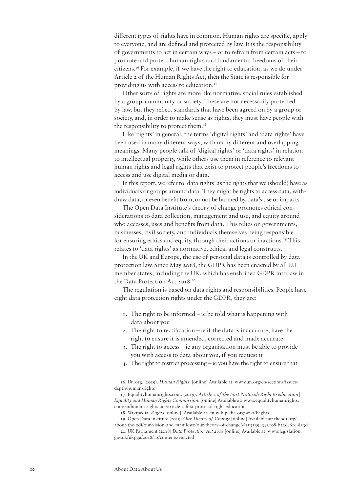different types of rights have in common. Human rights are specific, apply to everyone, and are defined and protected by law. It is the responsibility of governments to act in certain ways – or to refrain from certain acts – to promote and protect human rights and fundamental freedoms of their citizens.16 For example, if we have the right to education, as we do under Article 2 of the Human Rights Act, then the State is responsible for providing us with access to education.<sup>17</sup>

Other sorts of rights are more like normative, social rules established by a group, community or society. These are not necessarily protected by law, but they reflect standards that have been agreed on by a group or society, and, in order to make sense as rights, they must have people with the responsibility to protect them.<sup>18</sup>

Like 'rights' in general, the terms 'digital rights' and 'data rights' have been used in many different ways, with many different and overlapping meanings. Many people talk of 'digital rights' or 'data rights' in relation to intellectual property, while others use them in reference to relevant human rights and legal rights that exist to protect people's freedoms to access and use digital media or data.

In this report, we refer to 'data rights' as the rights that we (should) have as individuals or groups around data. They might be rights to access data, withdraw data, or even benefit from, or not be harmed by, data's use or impacts.

The Open Data Institute's theory of change promotes ethical considerations to data collection, management and use, and equity around who accesses, uses and benefits from data. This relies on governments, businesses, civil society, and individuals themselves being responsible for ensuring ethics and equity, through their actions or inactions.19 This relates to 'data rights' as normative, ethical and legal constructs.

In the UK and Europe, the use of personal data is controlled by data protection law. Since May 2018, the GDPR has been enacted by all EU member states, including the UK, which has enshrined GDPR into law in the Data Protection Act 2018.<sup>20</sup>

The regulation is based on data rights and responsibilities. People have eight data protection rights under the GDPR, they are:

- 1. The right to be informed ie be told what is happening with data about you
- 2. The right to rectification ie if the data is inaccurate, have the right to ensure it is amended, corrected and made accurate
- 3. The right to access ie any organisation must be able to provide you with access to data about you, if you request it
- 4. The right to restrict processing ie you have the right to ensure that

16. Un.org. (2019). *Human Rights*. [online] Available at: www.un.org/en/sections/issuesdepth/human-rights

17. Equalityhumanrights.com. (2019). *Article 2 of the First Protocol: Right to education | Equality and Human Rights Commission.* [online] Available at: www.equalityhumanrights. com/en/human-rights-act/article-2-first-protocol-right-education

18. Wikipedia. *Rights* [online]. Available at: en.wikipedia.org/wiki/Rights

19. Open Data Institute (2019) *Our Theory of Change* [online] Available at: theodi.org/ about-the-odi/our-vision-and-manifesto/our-theory-of-change/#1531394343108-b226e61c-833d

20. UK Parliament (2018) *Data Protection Act 2018* [online] Available at: www.legislation. gov.uk/ukpga/2018/12/contents/enacted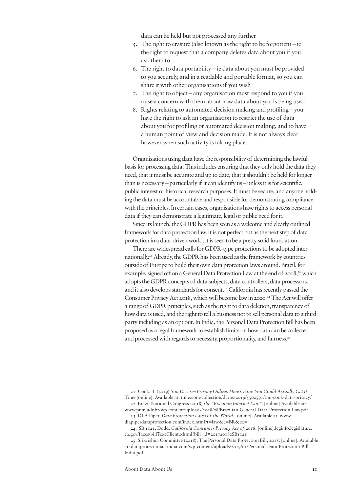data can be held but not processed any further

- 5. The right to erasure (also known as the right to be forgotten) ie the right to request that a company deletes data about you if you ask them to
- 6. The right to data portability ie data about you must be provided to you securely, and in a readable and portable format, so you can share it with other organisations if you wish
- 7. The right to object any organisation must respond to you if you raise a concern with them about how data about you is being used
- 8. Rights relating to automated decision making and profiling you have the right to ask an organisation to restrict the use of data about you for profiling or automated decision making, and to have a human point of view and decision made. It is not always clear however when such activity is taking place.

Organisations using data have the responsibility of determining the lawful basis for processing data. This includes ensuring that they only hold the data they need, that it must be accurate and up to date, that it shouldn't be held for longer than is necessary – particularly if it can identify us – unless it is for scientific, public interest or historical research purposes. It must be secure, and anyone holding the data must be accountable and responsible for demonstrating compliance with the principles. In certain cases, organisations have rights to access personal data if they can demonstrate a legitimate, legal or public need for it.

Since its launch, the GDPR has been seen as a welcome and clearly outlined framework for data protection law. It is not perfect but as the next step of data protection in a data-driven world, it is seen to be a pretty solid foundation.

There are widespread calls for GDPR-type protections to be adopted internationally.<sup>21</sup> Already, the GDPR has been used as the framework by countries outside of Europe to build their own data protection laws around. Brazil, for example, signed off on a General Data Protection Law at the end of  $20I8$ <sup>22</sup> which adopts the GDPR concepts of data subjects, data controllers, data processors, and it also develops standards for consent.<sup>23</sup> California has recently passed the Consumer Privacy Act 2018, which will become law in 2020.24 The Act will offer a range of GDPR principles, such as the right to data deletion, transparency of how data is used, and the right to tell a business not to sell personal data to a third party including as an opt out. In India, the Personal Data Protection Bill has been proposed as a legal framework to establish limits on how data can be collected and processed with regards to necessity, proportionality, and fairness.<sup>25</sup>

21. Cook, T. (2019) *You Deserve Privacy Online. Here's How You Could Actually Get It*  Time [online]. Available at: time.com/collection/davos-2019/5502591/tim-cook-data-privacy/

22. Brazil National Congress (2018) *the "Brazilian Internet Law"*. [online] Available at: www.pnm.adv.br/wp-content/uploads/2018/08/Brazilian-General-Data-Protection-Law.pdf

23. DLA Piper. *Data Protection Laws of the World.* [online]. Available at: www. dlapiperdataprotection.com/index.html?t=law&c=BR&c2=

24. SB 1121, Dodd. *California Consumer Privacy Act of 2018.* [online].leginfo.legislature. ca.gov/faces/billTextClient.xhtml?bill\_id=201720180SB1121

25. Srikrishna Committee (2018), The Personal Data Protection Bill, 2018. [online]. Available at: dataprotectionactindia.com/wp-content/uploads/2019/01/Personal-Data-Protection-Bill-India.pdf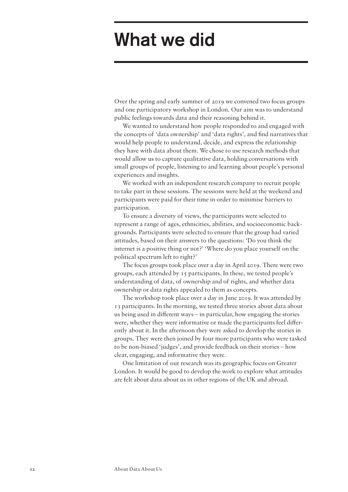# What we did

Over the spring and early summer of 2019 we convened two focus groups and one participatory workshop in London. Our aim was to understand public feelings towards data and their reasoning behind it.

We wanted to understand how people responded to and engaged with the concepts of 'data ownership' and 'data rights', and find narratives that would help people to understand, decide, and express the relationship they have with data about them. We chose to use research methods that would allow us to capture qualitative data, holding conversations with small groups of people, listening to and learning about people's personal experiences and insights.

We worked with an independent research company to recruit people to take part in these sessions. The sessions were held at the weekend and participants were paid for their time in order to minimise barriers to participation.

To ensure a diversity of views, the participants were selected to represent a range of ages, ethnicities, abilities, and socioeconomic backgrounds. Participants were selected to ensure that the group had varied attitudes, based on their answers to the questions: 'Do you think the internet is a positive thing or not?' 'Where do you place yourself on the political spectrum left to right?'

The focus groups took place over a day in April 2019. There were two groups, each attended by 15 participants. In these, we tested people's understanding of data, of ownership and of rights, and whether data ownership or data rights appealed to them as concepts.

The workshop took place over a day in June 2019. It was attended by 13 participants. In the morning, we tested three stories about data about us being used in different ways – in particular, how engaging the stories were, whether they were informative or made the participants feel differently about it. In the afternoon they were asked to develop the stories in groups. They were then joined by four more participants who were tasked to be non-biased 'judges', and provide feedback on their stories – how clear, engaging, and informative they were.

One limitation of our research was its geographic focus on Greater London. It would be good to develop the work to explore what attitudes are felt about data about us in other regions of the UK and abroad.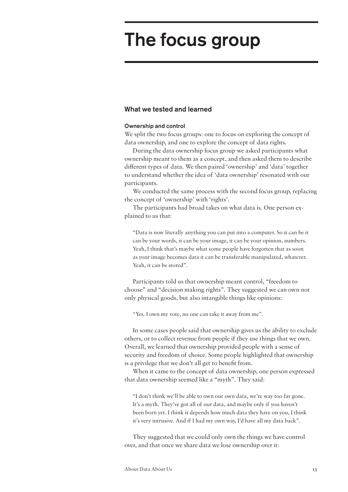# The focus group

# What we tested and learned

#### Ownership and control

We split the two focus groups: one to focus on exploring the concept of data ownership, and one to explore the concept of data rights.

During the data ownership focus group we asked participants what ownership meant to them as a concept, and then asked them to describe different types of data. We then paired 'ownership' and 'data' together to understand whether the idea of 'data ownership' resonated with our participants.

We conducted the same process with the second focus group, replacing the concept of 'ownership' with 'rights'.

The participants had broad takes on what data is. One person explained to us that:

"Data is now literally anything you can put into a computer. So it can be it can be your words, it can be your image, it can be your opinion, numbers. Yeah, I think that's maybe what some people have forgotten that as soon as your image becomes data it can be transferable manipulated, whatever. Yeah, it can be stored".

Participants told us that ownership meant control, "freedom to choose" and "decision making rights". They suggested we can own not only physical goods, but also intangible things like opinions:

"Yes. I own my vote, no one can take it away from me".

In some cases people said that ownership gives us the ability to exclude others, or to collect revenue from people if they use things that we own. Overall, we learned that ownership provided people with a sense of security and freedom of choice. Some people highlighted that ownership is a privilege that we don't all get to benefit from.

When it came to the concept of data ownership, one person expressed that data ownership seemed like a "myth". They said:

"I don't think we'll be able to own our own data, we're way too far gone. It's a myth. They've got all of our data, and maybe only if you haven't been born yet. I think it depends how much data they have on you, I think it's very intrusive. And if I had my own way, I'd have all my data back".

They suggested that we could only own the things we have control over, and that once we share data we lose ownership over it: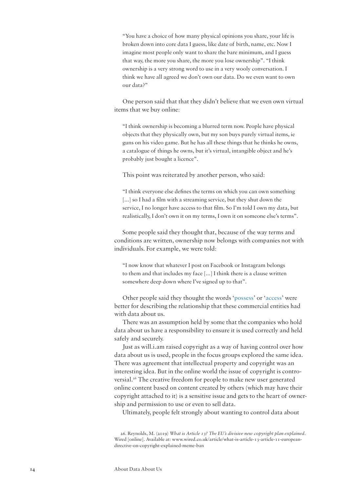"You have a choice of how many physical opinions you share, your life is broken down into core data I guess, like date of birth, name, etc. Now I imagine most people only want to share the bare minimum, and I guess that way, the more you share, the more you lose ownership". "I think ownership is a very strong word to use in a very wooly conversation. I think we have all agreed we don't own our data. Do we even want to own our data?"

One person said that that they didn't believe that we even own virtual items that we buy online:

"I think ownership is becoming a blurred term now. People have physical objects that they physically own, but my son buys purely virtual items, ie guns on his video game. But he has all these things that he thinks he owns, a catalogue of things he owns, but it's virtual, intangible object and he's probably just bought a licence".

This point was reiterated by another person, who said:

"I think everyone else defines the terms on which you can own something [...] so I had a film with a streaming service, but they shut down the service, I no longer have access to that film. So I'm told I own my data, but realistically, I don't own it on my terms, I own it on someone else's terms".

Some people said they thought that, because of the way terms and conditions are written, ownership now belongs with companies not with individuals. For example, we were told:

"I now know that whatever I post on Facebook or Instagram belongs to them and that includes my face [...] I think there is a clause written somewhere deep down where I've signed up to that".

Other people said they thought the words '**possess**' or '**access**' were better for describing the relationship that these commercial entities had with data about us.

There was an assumption held by some that the companies who hold data about us have a responsibility to ensure it is used correctly and held safely and securely.

Just as will.i.am raised copyright as a way of having control over how data about us is used, people in the focus groups explored the same idea. There was agreement that intellectual property and copyright was an interesting idea. But in the online world the issue of copyright is controversial.<sup>26</sup> The creative freedom for people to make new user generated online content based on content created by others (which may have their copyright attached to it) is a sensitive issue and gets to the heart of ownership and permission to use or even to sell data.

Ultimately, people felt strongly about wanting to control data about

<sup>26.</sup> Reynolds, M. (2019) *What is Article 13? The EU's divisive new copyright plan explained.* Wired [online]. Available at: www.wired.co.uk/article/what-is-article-13-article-11-europeandirective-on-copyright-explained-meme-ban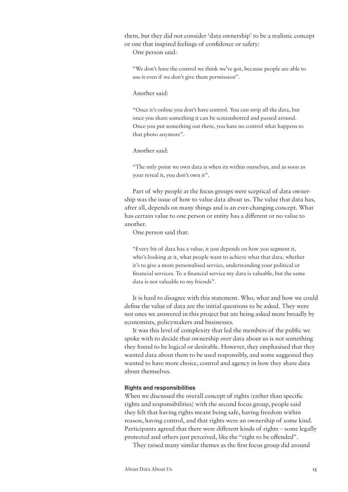them, but they did not consider 'data ownership' to be a realistic concept or one that inspired feelings of confidence or safety:

One person said:

"We don't have the control we think we've got, because people are able to use it even if we don't give them permission".

#### Another said:

"Once it's online you don't have control. You can strip all the data, but once you share something it can be screenshotted and passed around. Once you put something out there, you have no control what happens to that photo anymore".

### Another said:

"The only point we own data is when its within ourselves, and as soon as your reveal it, you don't own it".

Part of why people at the focus groups were sceptical of data ownership was the issue of how to value data about us. The value that data has, after all, depends on many things and is an ever-changing concept. What has certain value to one person or entity has a different or no value to another.

One person said that:

"Every bit of data has a value, it just depends on how you segment it, who's looking at it, what people want to achieve what that data, whether it's to give a more personalised service, understanding your political or financial services. To a financial service my data is valuable, but the same data is not valuable to my friends".

It is hard to disagree with this statement. Who, what and how we could define the value of data are the initial questions to be asked. They were not ones we answered in this project but are being asked more broadly by economists, policymakers and businesses.

It was this level of complexity that led the members of the public we spoke with to decide that ownership over data about us is not something they found to be logical or desirable. However, they emphasised that they wanted data about them to be used responsibly, and some suggested they wanted to have more choice, control and agency in how they share data about themselves.

#### Rights and responsibilities

When we discussed the overall concept of rights (rather than specific rights and responsibilities) with the second focus group, people said they felt that having rights meant being safe, having freedom within reason, having control, and that rights were an ownership of some kind. Participants agreed that there were different kinds of rights – some legally protected and others just perceived, like the "right to be offended".

They raised many similar themes as the first focus group did around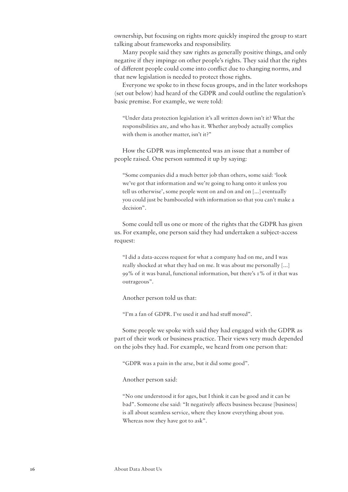ownership, but focusing on rights more quickly inspired the group to start talking about frameworks and responsibility.

Many people said they saw rights as generally positive things, and only negative if they impinge on other people's rights. They said that the rights of different people could come into conflict due to changing norms, and that new legislation is needed to protect those rights.

Everyone we spoke to in these focus groups, and in the later workshops (set out below) had heard of the GDPR and could outline the regulation's basic premise. For example, we were told:

"Under data protection legislation it's all written down isn't it? What the responsibilities are, and who has it. Whether anybody actually complies with them is another matter, isn't it?"

How the GDPR was implemented was an issue that a number of people raised. One person summed it up by saying:

"Some companies did a much better job than others, some said: 'look we've got that information and we're going to hang onto it unless you tell us otherwise', some people went on and on and on [...] eventually you could just be bamboozled with information so that you can't make a decision".

Some could tell us one or more of the rights that the GDPR has given us. For example, one person said they had undertaken a subject-access request:

"I did a data-access request for what a company had on me, and I was really shocked at what they had on me. It was about me personally [...] 99% of it was banal, functional information, but there's 1% of it that was outrageous".

Another person told us that:

"I'm a fan of GDPR. I've used it and had stuff moved".

Some people we spoke with said they had engaged with the GDPR as part of their work or business practice. Their views very much depended on the jobs they had. For example, we heard from one person that:

"GDPR was a pain in the arse, but it did some good".

Another person said:

"No one understood it for ages, but I think it can be good and it can be bad". Someone else said: "It negatively affects business because [business] is all about seamless service, where they know everything about you. Whereas now they have got to ask".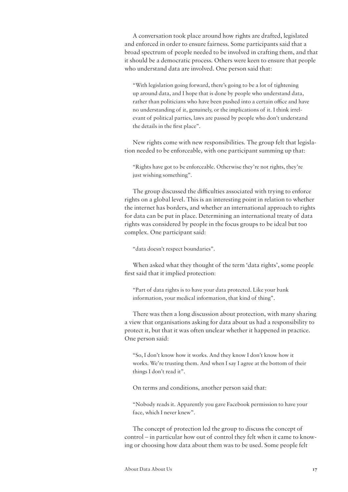A conversation took place around how rights are drafted, legislated and enforced in order to ensure fairness. Some participants said that a broad spectrum of people needed to be involved in crafting them, and that it should be a democratic process. Others were keen to ensure that people who understand data are involved. One person said that:

"With legislation going forward, there's going to be a lot of tightening up around data, and I hope that is done by people who understand data, rather than politicians who have been pushed into a certain office and have no understanding of it, genuinely, or the implications of it. I think irrelevant of political parties, laws are passed by people who don't understand the details in the first place".

New rights come with new responsibilities. The group felt that legislation needed to be enforceable, with one participant summing up that:

"Rights have got to be enforceable. Otherwise they're not rights, they're just wishing something".

The group discussed the difficulties associated with trying to enforce rights on a global level. This is an interesting point in relation to whether the internet has borders, and whether an international approach to rights for data can be put in place. Determining an international treaty of data rights was considered by people in the focus groups to be ideal but too complex. One participant said:

"data doesn't respect boundaries".

When asked what they thought of the term 'data rights', some people first said that it implied protection:

"Part of data rights is to have your data protected. Like your bank information, your medical information, that kind of thing".

There was then a long discussion about protection, with many sharing a view that organisations asking for data about us had a responsibility to protect it, but that it was often unclear whether it happened in practice. One person said:

"So, I don't know how it works. And they know I don't know how it works. We're trusting them. And when I say I agree at the bottom of their things I don't read it".

On terms and conditions, another person said that:

"Nobody reads it. Apparently you gave Facebook permission to have your face, which I never knew".

The concept of protection led the group to discuss the concept of control – in particular how out of control they felt when it came to knowing or choosing how data about them was to be used. Some people felt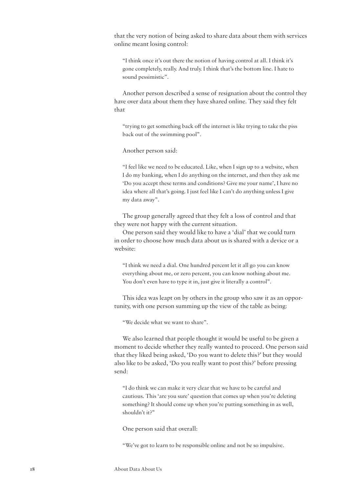that the very notion of being asked to share data about them with services online meant losing control:

"I think once it's out there the notion of having control at all. I think it's gone completely, really. And truly. I think that's the bottom line. I hate to sound pessimistic".

Another person described a sense of resignation about the control they have over data about them they have shared online. They said they felt that

"trying to get something back off the internet is like trying to take the piss back out of the swimming pool".

Another person said:

"I feel like we need to be educated. Like, when I sign up to a website, when I do my banking, when I do anything on the internet, and then they ask me 'Do you accept these terms and conditions? Give me your name', I have no idea where all that's going. I just feel like I can't do anything unless I give my data away".

The group generally agreed that they felt a loss of control and that they were not happy with the current situation.

One person said they would like to have a 'dial' that we could turn in order to choose how much data about us is shared with a device or a website:

"I think we need a dial. One hundred percent let it all go you can know everything about me, or zero percent, you can know nothing about me. You don't even have to type it in, just give it literally a control".

This idea was leapt on by others in the group who saw it as an opportunity, with one person summing up the view of the table as being:

"We decide what we want to share".

We also learned that people thought it would be useful to be given a moment to decide whether they really wanted to proceed. One person said that they liked being asked, 'Do you want to delete this?' but they would also like to be asked, 'Do you really want to post this?' before pressing send:

"I do think we can make it very clear that we have to be careful and cautious. This 'are you sure' question that comes up when you're deleting something? It should come up when you're putting something in as well, shouldn't it?"

One person said that overall:

"We've got to learn to be responsible online and not be so impulsive.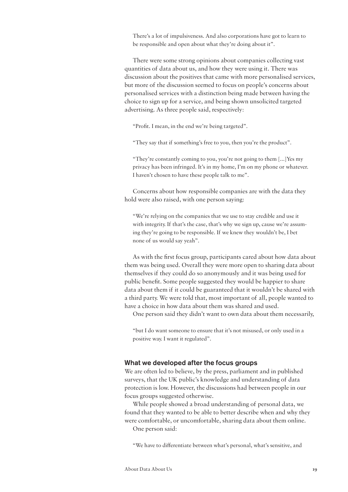There's a lot of impulsiveness. And also corporations have got to learn to be responsible and open about what they're doing about it".

There were some strong opinions about companies collecting vast quantities of data about us, and how they were using it. There was discussion about the positives that came with more personalised services, but more of the discussion seemed to focus on people's concerns about personalised services with a distinction being made between having the choice to sign up for a service, and being shown unsolicited targeted advertising. As three people said, respectively:

"Profit. I mean, in the end we're being targeted".

"They say that if something's free to you, then you're the product".

"They're constantly coming to you, you're not going to them [...]Yes my privacy has been infringed. It's in my home, I'm on my phone or whatever. I haven't chosen to have these people talk to me".

Concerns about how responsible companies are with the data they hold were also raised, with one person saying:

"We're relying on the companies that we use to stay credible and use it with integrity. If that's the case, that's why we sign up, cause we're assuming they're going to be responsible. If we knew they wouldn't be, I bet none of us would say yeah".

As with the first focus group, participants cared about how data about them was being used. Overall they were more open to sharing data about themselves if they could do so anonymously and it was being used for public benefit. Some people suggested they would be happier to share data about them if it could be guaranteed that it wouldn't be shared with a third party. We were told that, most important of all, people wanted to have a choice in how data about them was shared and used.

One person said they didn't want to own data about them necessarily,

"but I do want someone to ensure that it's not misused, or only used in a positive way. I want it regulated".

### What we developed after the focus groups

We are often led to believe, by the press, parliament and in published surveys, that the UK public's knowledge and understanding of data protection is low. However, the discussions had between people in our focus groups suggested otherwise.

While people showed a broad understanding of personal data, we found that they wanted to be able to better describe when and why they were comfortable, or uncomfortable, sharing data about them online.

One person said:

"We have to differentiate between what's personal, what's sensitive, and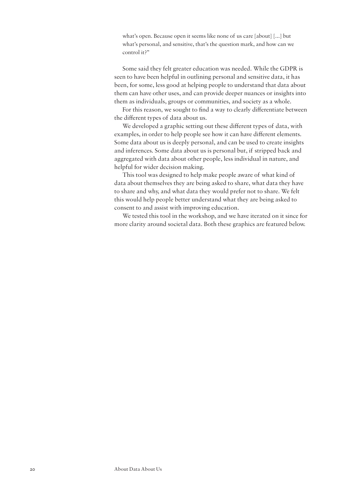what's open. Because open it seems like none of us care [about] [...] but what's personal, and sensitive, that's the question mark, and how can we control it?"

Some said they felt greater education was needed. While the GDPR is seen to have been helpful in outlining personal and sensitive data, it has been, for some, less good at helping people to understand that data about them can have other uses, and can provide deeper nuances or insights into them as individuals, groups or communities, and society as a whole.

For this reason, we sought to find a way to clearly differentiate between the different types of data about us.

We developed a graphic setting out these different types of data, with examples, in order to help people see how it can have different elements. Some data about us is deeply personal, and can be used to create insights and inferences. Some data about us is personal but, if stripped back and aggregated with data about other people, less individual in nature, and helpful for wider decision making.

This tool was designed to help make people aware of what kind of data about themselves they are being asked to share, what data they have to share and why, and what data they would prefer not to share. We felt this would help people better understand what they are being asked to consent to and assist with improving education.

We tested this tool in the workshop, and we have iterated on it since for more clarity around societal data. Both these graphics are featured below.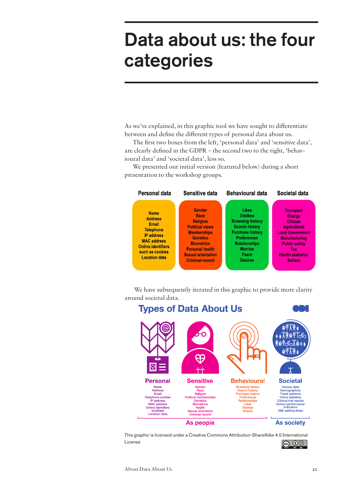# Data about us: the four categories

As we've explained, in this graphic tool we have sought to differentiate between and define the different types of personal data about us.

The first two boxes from the left, 'personal data' and 'sensitive data', are clearly defined in the GDPR – the second two to the right, 'behavioural data' and 'societal data', less so.

We presented our initial version (featured below) during a short presentation to the workshop groups.



 We have subsequently iterated in this graphic to provide more clarity around societal data.



This graphic is licensed under a Creative Commons Attribution-ShareAlike 4.0 International License <u>ම ගම</u>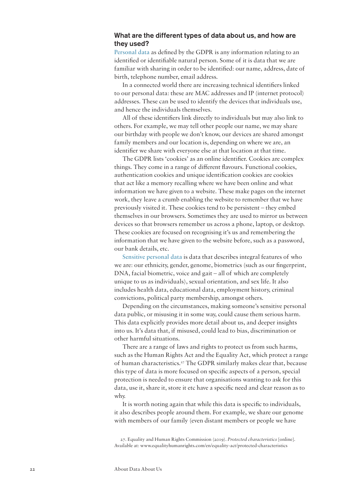# What are the different types of data about us, and how are they used?

**Personal data** as defined by the GDPR is any information relating to an identified or identifiable natural person. Some of it is data that we are familiar with sharing in order to be identified: our name, address, date of birth, telephone number, email address.

In a connected world there are increasing technical identifiers linked to our personal data: these are MAC addresses and IP (internet protocol) addresses. These can be used to identify the devices that individuals use, and hence the individuals themselves.

All of these identifiers link directly to individuals but may also link to others. For example, we may tell other people our name, we may share our birthday with people we don't know, our devices are shared amongst family members and our location is, depending on where we are, an identifier we share with everyone else at that location at that time.

The GDPR lists 'cookies' as an online identifier. Cookies are complex things. They come in a range of different flavours. Functional cookies, authentication cookies and unique identification cookies are cookies that act like a memory recalling where we have been online and what information we have given to a website. These make pages on the internet work, they leave a crumb enabling the website to remember that we have previously visited it. These cookies tend to be persistent – they embed themselves in our browsers. Sometimes they are used to mirror us between devices so that browsers remember us across a phone, laptop, or desktop. These cookies are focused on recognising it's us and remembering the information that we have given to the website before, such as a password, our bank details, etc.

**Sensitive personal data** is data that describes integral features of who we are: our ethnicity, gender, genome, biometrics (such as our fingerprint, DNA, facial biometric, voice and gait – all of which are completely unique to us as individuals), sexual orientation, and sex life. It also includes health data, educational data, employment history, criminal convictions, political party membership, amongst others.

Depending on the circumstances, making someone's sensitive personal data public, or misusing it in some way, could cause them serious harm. This data explicitly provides more detail about us, and deeper insights into us. It's data that, if misused, could lead to bias, discrimination or other harmful situations.

There are a range of laws and rights to protect us from such harms, such as the Human Rights Act and the Equality Act, which protect a range of human characteristics.27 The GDPR similarly makes clear that, because this type of data is more focused on specific aspects of a person, special protection is needed to ensure that organisations wanting to ask for this data, use it, share it, store it etc have a specific need and clear reason as to why.

It is worth noting again that while this data is specific to individuals, it also describes people around them. For example, we share our genome with members of our family (even distant members or people we have

<sup>27.</sup> Equality and Human Rights Commission (2019). *Protected characteristics* [online]. Available at: www.equalityhumanrights.com/en/equality-act/protected-characteristics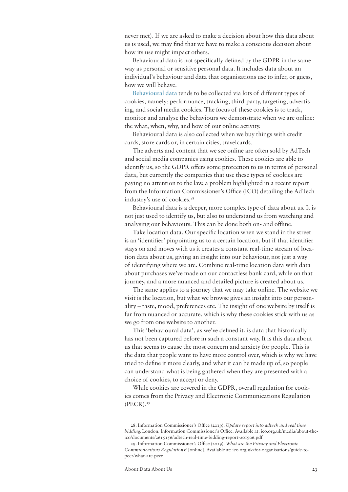never met). If we are asked to make a decision about how this data about us is used, we may find that we have to make a conscious decision about how its use might impact others.

Behavioural data is not specifically defined by the GDPR in the same way as personal or sensitive personal data. It includes data about an individual's behaviour and data that organisations use to infer, or guess, how we will behave.

**Behavioural data** tends to be collected via lots of different types of cookies, namely: performance, tracking, third-party, targeting, advertising, and social media cookies. The focus of these cookies is to track, monitor and analyse the behaviours we demonstrate when we are online: the what, when, why, and how of our online activity.

Behavioural data is also collected when we buy things with credit cards, store cards or, in certain cities, travelcards.

The adverts and content that we see online are often sold by AdTech and social media companies using cookies. These cookies are able to identify us, so the GDPR offers some protection to us in terms of personal data, but currently the companies that use these types of cookies are paying no attention to the law, a problem highlighted in a recent report from the Information Commissioner's Office (ICO) detailing the AdTech industry's use of cookies.<sup>28</sup>

Behavioural data is a deeper, more complex type of data about us. It is not just used to identify us, but also to understand us from watching and analysing our behaviours. This can be done both on- and offline.

Take location data. Our specific location when we stand in the street is an 'identifier' pinpointing us to a certain location, but if that identifier stays on and moves with us it creates a constant real-time stream of location data about us, giving an insight into our behaviour, not just a way of identifying where we are. Combine real-time location data with data about purchases we've made on our contactless bank card, while on that journey, and a more nuanced and detailed picture is created about us.

The same applies to a journey that we may take online. The website we visit is the location, but what we browse gives an insight into our personality – taste, mood, preferences etc. The insight of one website by itself is far from nuanced or accurate, which is why these cookies stick with us as we go from one website to another.

This 'behavioural data', as we've defined it, is data that historically has not been captured before in such a constant way. It is this data about us that seems to cause the most concern and anxiety for people. This is the data that people want to have more control over, which is why we have tried to define it more clearly, and what it can be made up of, so people can understand what is being gathered when they are presented with a choice of cookies, to accept or deny.

While cookies are covered in the GDPR, overall regulation for cookies comes from the Privacy and Electronic Communications Regulation  $(PECR).<sup>29</sup>$ 

<sup>28.</sup> Information Commissioner's Office (2019). *Update report into adtech and real time bidding.* London: Information Commissioner's Office. Available at: ico.org.uk/media/about-theico/documents/2615156/adtech-real-time-bidding-report-201906.pdf

<sup>29.</sup> Information Commissioner's Office (2019). *What are the Privacy and Electronic Communications Regulations?* [online]. Available at: ico.org.uk/for-organisations/guide-topecr/what-are-pecr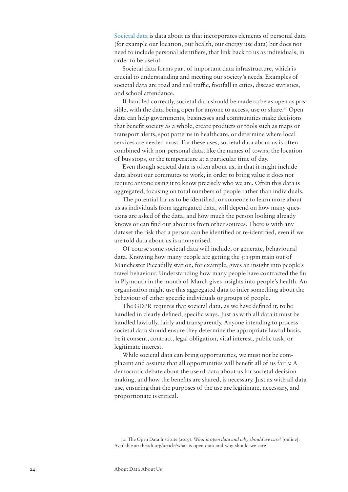**Societal data** is data about us that incorporates elements of personal data (for example our location, our health, our energy use data) but does not need to include personal identifiers, that link back to us as individuals, in order to be useful.

Societal data forms part of important data infrastructure, which is crucial to understanding and meeting our society's needs. Examples of societal data are road and rail traffic, footfall in cities, disease statistics, and school attendance.

If handled correctly, societal data should be made to be as open as possible, with the data being open for anyone to access, use or share.<sup>30</sup> Open data can help governments, businesses and communities make decisions that benefit society as a whole, create products or tools such as maps or transport alerts, spot patterns in healthcare, or determine where local services are needed most. For these uses, societal data about us is often combined with non-personal data, like the names of towns, the location of bus stops, or the temperature at a particular time of day.

Even though societal data is often about us, in that it might include data about our commutes to work, in order to bring value it does not require anyone using it to know precisely who we are. Often this data is aggregated, focusing on total numbers of people rather than individuals.

The potential for us to be identified, or someone to learn more about us as individuals from aggregated data, will depend on how many questions are asked of the data, and how much the person looking already knows or can find out about us from other sources. There is with any dataset the risk that a person can be identified or re-identified, even if we are told data about us is anonymised.

Of course some societal data will include, or generate, behavioural data. Knowing how many people are getting the 5:15pm train out of Manchester Piccadilly station, for example, gives an insight into people's travel behaviour. Understanding how many people have contracted the flu in Plymouth in the month of March gives insights into people's health. An organisation might use this aggregated data to infer something about the behaviour of either specific individuals or groups of people.

The GDPR requires that societal data, as we have defined it, to be handled in clearly defined, specific ways. Just as with all data it must be handled lawfully, fairly and transparently. Anyone intending to process societal data should ensure they determine the appropriate lawful basis, be it consent, contract, legal obligation, vital interest, public task, or legitimate interest.

While societal data can bring opportunities, we must not be complacent and assume that all opportunities will benefit all of us fairly. A democratic debate about the use of data about us for societal decision making, and how the benefits are shared, is necessary. Just as with all data use, ensuring that the purposes of the use are legitimate, necessary, and proportionate is critical.

<sup>30.</sup> The Open Data Institute (2019). *What is open data and why should we care?* [online]. Available at: theodi.org/article/what-is-open-data-and-why-should-we-care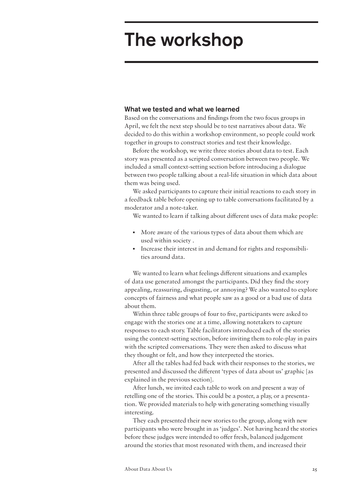# The workshop

### What we tested and what we learned

Based on the conversations and findings from the two focus groups in April, we felt the next step should be to test narratives about data. We decided to do this within a workshop environment, so people could work together in groups to construct stories and test their knowledge.

Before the workshop, we write three stories about data to test. Each story was presented as a scripted conversation between two people. We included a small context-setting section before introducing a dialogue between two people talking about a real-life situation in which data about them was being used.

We asked participants to capture their initial reactions to each story in a feedback table before opening up to table conversations facilitated by a moderator and a note-taker.

We wanted to learn if talking about different uses of data make people:

- More aware of the various types of data about them which are used within society .
- Increase their interest in and demand for rights and responsibilities around data.

We wanted to learn what feelings different situations and examples of data use generated amongst the participants. Did they find the story appealing, reassuring, disgusting, or annoying? We also wanted to explore concepts of fairness and what people saw as a good or a bad use of data about them.

Within three table groups of four to five, participants were asked to engage with the stories one at a time, allowing notetakers to capture responses to each story. Table facilitators introduced each of the stories using the context-setting section, before inviting them to role-play in pairs with the scripted conversations. They were then asked to discuss what they thought or felt, and how they interpreted the stories.

After all the tables had fed back with their responses to the stories, we presented and discussed the different 'types of data about us' graphic [as explained in the previous section].

After lunch, we invited each table to work on and present a way of retelling one of the stories. This could be a poster, a play, or a presentation. We provided materials to help with generating something visually interesting.

They each presented their new stories to the group, along with new participants who were brought in as 'judges'. Not having heard the stories before these judges were intended to offer fresh, balanced judgement around the stories that most resonated with them, and increased their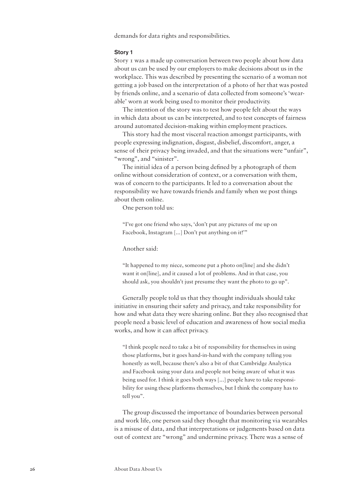demands for data rights and responsibilities.

#### Story 1

Story 1 was a made up conversation between two people about how data about us can be used by our employers to make decisions about us in the workplace. This was described by presenting the scenario of a woman not getting a job based on the interpretation of a photo of her that was posted by friends online, and a scenario of data collected from someone's 'wearable' worn at work being used to monitor their productivity.

The intention of the story was to test how people felt about the ways in which data about us can be interpreted, and to test concepts of fairness around automated decision-making within employment practices.

This story had the most visceral reaction amongst participants, with people expressing indignation, disgust, disbelief, discomfort, anger, a sense of their privacy being invaded, and that the situations were "unfair", "wrong", and "sinister".

The initial idea of a person being defined by a photograph of them online without consideration of context, or a conversation with them, was of concern to the participants. It led to a conversation about the responsibility we have towards friends and family when we post things about them online.

One person told us:

"I've got one friend who says, 'don't put any pictures of me up on Facebook, Instagram [...] Don't put anything on it!"

Another said:

"It happened to my niece, someone put a photo on[line] and she didn't want it on[line], and it caused a lot of problems. And in that case, you should ask, you shouldn't just presume they want the photo to go up".

Generally people told us that they thought individuals should take initiative in ensuring their safety and privacy, and take responsibility for how and what data they were sharing online. But they also recognised that people need a basic level of education and awareness of how social media works, and how it can affect privacy.

"I think people need to take a bit of responsibility for themselves in using those platforms, but it goes hand-in-hand with the company telling you honestly as well, because there's also a bit of that Cambridge Analytica and Facebook using your data and people not being aware of what it was being used for. I think it goes both ways [...] people have to take responsibility for using these platforms themselves, but I think the company has to tell you".

The group discussed the importance of boundaries between personal and work life, one person said they thought that monitoring via wearables is a misuse of data, and that interpretations or judgements based on data out of context are "wrong" and undermine privacy. There was a sense of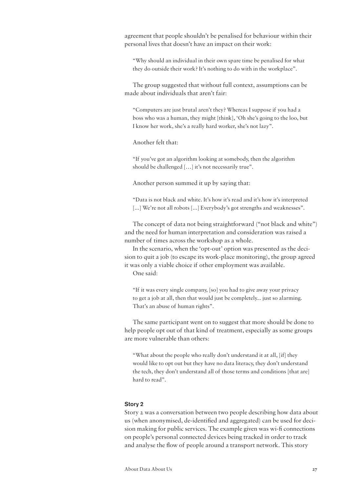agreement that people shouldn't be penalised for behaviour within their personal lives that doesn't have an impact on their work:

"Why should an individual in their own spare time be penalised for what they do outside their work? It's nothing to do with in the workplace".

The group suggested that without full context, assumptions can be made about individuals that aren't fair:

"Computers are just brutal aren't they? Whereas I suppose if you had a boss who was a human, they might [think], 'Oh she's going to the loo, but I know her work, she's a really hard worker, she's not lazy".

Another felt that:

"If you've got an algorithm looking at somebody, then the algorithm should be challenged […] it's not necessarily true".

Another person summed it up by saying that:

"Data is not black and white. It's how it's read and it's how it's interpreted [...] We're not all robots [...] Everybody's got strengths and weaknesses".

The concept of data not being straightforward ("not black and white") and the need for human interpretation and consideration was raised a number of times across the workshop as a whole.

In the scenario, when the 'opt-out' option was presented as the decision to quit a job (to escape its work-place monitoring), the group agreed it was only a viable choice if other employment was available. One said:

"If it was every single company, [so] you had to give away your privacy to get a job at all, then that would just be completely... just so alarming. That's an abuse of human rights".

The same participant went on to suggest that more should be done to help people opt out of that kind of treatment, especially as some groups are more vulnerable than others:

"What about the people who really don't understand it at all, [if] they would like to opt out but they have no data literacy, they don't understand the tech, they don't understand all of those terms and conditions [that are] hard to read".

#### Story 2

Story 2 was a conversation between two people describing how data about us (when anonymised, de-identified and aggregated) can be used for decision making for public services. The example given was wi-fi connections on people's personal connected devices being tracked in order to track and analyse the flow of people around a transport network. This story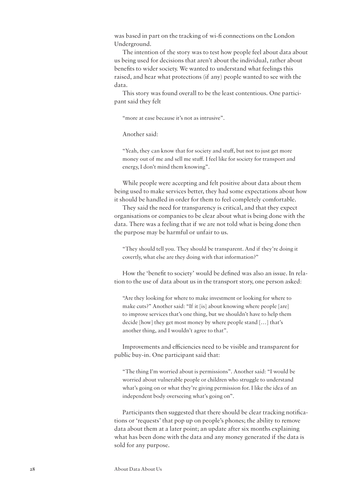was based in part on the tracking of wi-fi connections on the London Underground.

The intention of the story was to test how people feel about data about us being used for decisions that aren't about the individual, rather about benefits to wider society. We wanted to understand what feelings this raised, and hear what protections (if any) people wanted to see with the data.

This story was found overall to be the least contentious. One participant said they felt

"more at ease because it's not as intrusive".

Another said:

"Yeah, they can know that for society and stuff, but not to just get more money out of me and sell me stuff. I feel like for society for transport and energy, I don't mind them knowing".

While people were accepting and felt positive about data about them being used to make services better, they had some expectations about how it should be handled in order for them to feel completely comfortable.

They said the need for transparency is critical, and that they expect organisations or companies to be clear about what is being done with the data. There was a feeling that if we are not told what is being done then the purpose may be harmful or unfair to us.

"They should tell you. They should be transparent. And if they're doing it covertly, what else are they doing with that information?"

How the 'benefit to society' would be defined was also an issue. In relation to the use of data about us in the transport story, one person asked:

"Are they looking for where to make investment or looking for where to make cuts?" Another said: "If it [is] about knowing where people [are] to improve services that's one thing, but we shouldn't have to help them decide [how] they get most money by where people stand […] that's another thing, and I wouldn't agree to that".

Improvements and efficiencies need to be visible and transparent for public buy-in. One participant said that:

"The thing I'm worried about is permissions". Another said: "I would be worried about vulnerable people or children who struggle to understand what's going on or what they're giving permission for. I like the idea of an independent body overseeing what's going on".

Participants then suggested that there should be clear tracking notifications or 'requests' that pop up on people's phones; the ability to remove data about them at a later point; an update after six months explaining what has been done with the data and any money generated if the data is sold for any purpose.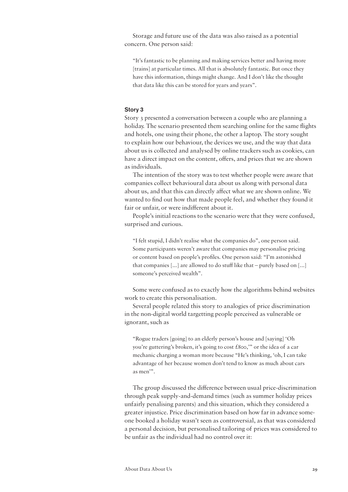Storage and future use of the data was also raised as a potential concern. One person said:

"It's fantastic to be planning and making services better and having more [trains] at particular times. All that is absolutely fantastic. But once they have this information, things might change. And I don't like the thought that data like this can be stored for years and years".

#### Story 3

Story 3 presented a conversation between a couple who are planning a holiday. The scenario presented them searching online for the same flights and hotels, one using their phone, the other a laptop. The story sought to explain how our behaviour, the devices we use, and the way that data about us is collected and analysed by online trackers such as cookies, can have a direct impact on the content, offers, and prices that we are shown as individuals.

The intention of the story was to test whether people were aware that companies collect behavioural data about us along with personal data about us, and that this can directly affect what we are shown online. We wanted to find out how that made people feel, and whether they found it fair or unfair, or were indifferent about it.

People's initial reactions to the scenario were that they were confused, surprised and curious.

"I felt stupid, I didn't realise what the companies do", one person said. Some participants weren't aware that companies may personalise pricing or content based on people's profiles. One person said: "I'm astonished that companies [...] are allowed to do stuff like that – purely based on [...] someone's perceived wealth".

Some were confused as to exactly how the algorithms behind websites work to create this personalisation.

Several people related this story to analogies of price discrimination in the non-digital world targetting people perceived as vulnerable or ignorant, such as

"Rogue traders [going] to an elderly person's house and [saying] 'Oh you're guttering's broken, it's going to cost £800,'" or the idea of a car mechanic charging a woman more because "He's thinking, 'oh, I can take advantage of her because women don't tend to know as much about cars as men'".

The group discussed the difference between usual price-discrimination through peak supply-and-demand times (such as summer holiday prices unfairly penalising parents) and this situation, which they considered a greater injustice. Price discrimination based on how far in advance someone booked a holiday wasn't seen as controversial, as that was considered a personal decision, but personalised tailoring of prices was considered to be unfair as the individual had no control over it: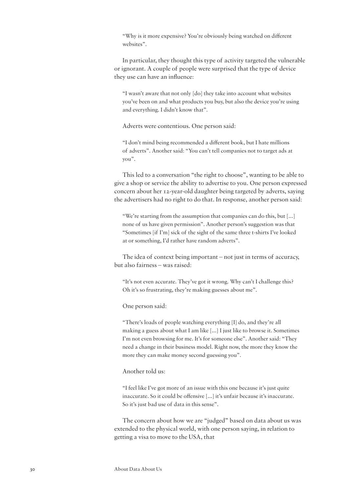"Why is it more expensive? You're obviously being watched on different websites".

In particular, they thought this type of activity targeted the vulnerable or ignorant. A couple of people were surprised that the type of device they use can have an influence:

"I wasn't aware that not only [do] they take into account what websites you've been on and what products you buy, but also the device you're using and everything. I didn't know that".

Adverts were contentious. One person said:

"I don't mind being recommended a different book, but I hate millions of adverts". Another said: "You can't tell companies not to target ads at you".

This led to a conversation "the right to choose", wanting to be able to give a shop or service the ability to advertise to you. One person expressed concern about her 12-year-old daughter being targeted by adverts, saying the advertisers had no right to do that. In response, another person said:

"We're starting from the assumption that companies can do this, but [...] none of us have given permission". Another person's suggestion was that "Sometimes [if I'm] sick of the sight of the same three t-shirts I've looked at or something, I'd rather have random adverts".

The idea of context being important – not just in terms of accuracy, but also fairness – was raised:

"It's not even accurate. They've got it wrong. Why can't I challenge this? Oh it's so frustrating, they're making guesses about me".

#### One person said:

"There's loads of people watching everything [I] do, and they're all making a guess about what I am like [...] I just like to browse it. Sometimes I'm not even browsing for me. It's for someone else". Another said: "They need a change in their business model. Right now, the more they know the more they can make money second guessing you".

# Another told us:

"I feel like I've got more of an issue with this one because it's just quite inaccurate. So it could be offensive [...] it's unfair because it's inaccurate. So it's just bad use of data in this sense".

The concern about how we are "judged" based on data about us was extended to the physical world, with one person saying, in relation to getting a visa to move to the USA, that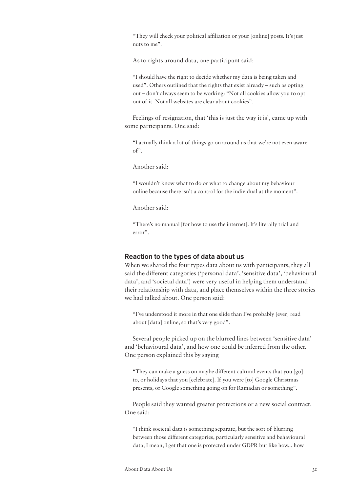"They will check your political affiliation or your [online] posts. It's just nuts to me".

As to rights around data, one participant said:

"I should have the right to decide whether my data is being taken and used". Others outlined that the rights that exist already – such as opting out – don't always seem to be working: "Not all cookies allow you to opt out of it. Not all websites are clear about cookies".

Feelings of resignation, that 'this is just the way it is', came up with some participants. One said:

"I actually think a lot of things go on around us that we're not even aware of".

Another said:

"I wouldn't know what to do or what to change about my behaviour online because there isn't a control for the individual at the moment".

Another said:

"There's no manual [for how to use the internet]. It's literally trial and error".

### Reaction to the types of data about us

When we shared the four types data about us with participants, they all said the different categories ('personal data', 'sensitive data', 'behavioural data', and 'societal data') were very useful in helping them understand their relationship with data, and place themselves within the three stories we had talked about. One person said:

"I've understood it more in that one slide than I've probably [ever] read about [data] online, so that's very good".

Several people picked up on the blurred lines between 'sensitive data' and 'behavioural data', and how one could be inferred from the other. One person explained this by saying

"They can make a guess on maybe different cultural events that you [go] to, or holidays that you [celebrate]. If you were [to] Google Christmas presents, or Google something going on for Ramadan or something".

People said they wanted greater protections or a new social contract. One said:

"I think societal data is something separate, but the sort of blurring between those different categories, particularly sensitive and behavioural data, I mean, I get that one is protected under GDPR but like how... how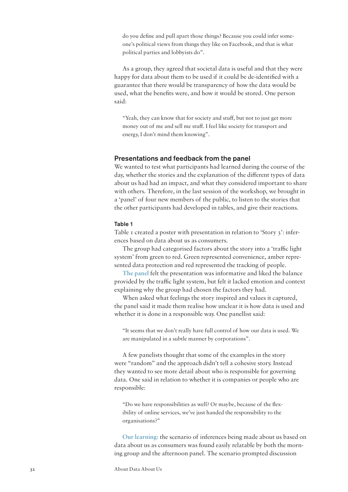do you define and pull apart those things? Because you could infer someone's political views from things they like on Facebook, and that is what political parties and lobbyists do".

As a group, they agreed that societal data is useful and that they were happy for data about them to be used if it could be de-identified with a guarantee that there would be transparency of how the data would be used, what the benefits were, and how it would be stored. One person said:

"Yeah, they can know that for society and stuff, but not to just get more money out of me and sell me stuff. I feel like society for transport and energy, I don't mind them knowing".

### Presentations and feedback from the panel

We wanted to test what participants had learned during the course of the day, whether the stories and the explanation of the different types of data about us had had an impact, and what they considered important to share with others. Therefore, in the last session of the workshop, we brought in a 'panel' of four new members of the public, to listen to the stories that the other participants had developed in tables, and give their reactions.

### Table 1

Table I created a poster with presentation in relation to 'Story 3': inferences based on data about us as consumers.

The group had categorised factors about the story into a 'traffic light system' from green to red. Green represented convenience, amber represented data protection and red represented the tracking of people.

**The panel** felt the presentation was informative and liked the balance provided by the traffic light system, but felt it lacked emotion and context explaining why the group had chosen the factors they had.

When asked what feelings the story inspired and values it captured, the panel said it made them realise how unclear it is how data is used and whether it is done in a responsible way. One panellist said:

"It seems that we don't really have full control of how our data is used. We are manipulated in a subtle manner by corporations".

A few panelists thought that some of the examples in the story were "random" and the approach didn't tell a cohesive story. Instead they wanted to see more detail about who is responsible for governing data. One said in relation to whether it is companies or people who are responsible:

"Do we have responsibilities as well? Or maybe, because of the flexibility of online services, we've just handed the responsibility to the organisations?"

**Our learning:** the scenario of inferences being made about us based on data about us as consumers was found easily relatable by both the morning group and the afternoon panel. The scenario prompted discussion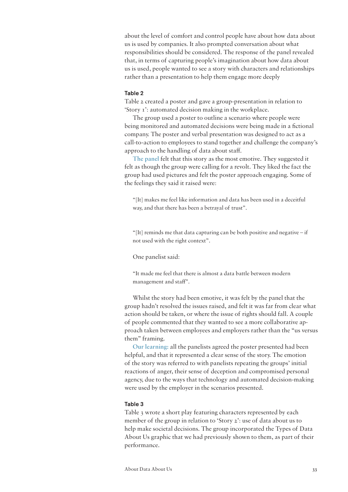about the level of comfort and control people have about how data about us is used by companies. It also prompted conversation about what responsibilities should be considered. The response of the panel revealed that, in terms of capturing people's imagination about how data about us is used, people wanted to see a story with characters and relationships rather than a presentation to help them engage more deeply

### Table 2

Table 2 created a poster and gave a group-presentation in relation to 'Story 1': automated decision making in the workplace.

The group used a poster to outline a scenario where people were being monitored and automated decisions were being made in a fictional company. The poster and verbal presentation was designed to act as a call-to-action to employees to stand together and challenge the company's approach to the handling of data about staff.

**The panel** felt that this story as the most emotive. They suggested it felt as though the group were calling for a revolt. They liked the fact the group had used pictures and felt the poster approach engaging. Some of the feelings they said it raised were:

"[It] makes me feel like information and data has been used in a deceitful way, and that there has been a betrayal of trust".

"[It] reminds me that data capturing can be both positive and negative  $-i$  if not used with the right context".

One panelist said:

"It made me feel that there is almost a data battle between modern management and staff".

Whilst the story had been emotive, it was felt by the panel that the group hadn't resolved the issues raised, and felt it was far from clear what action should be taken, or where the issue of rights should fall. A couple of people commented that they wanted to see a more collaborative approach taken between employees and employers rather than the "us versus them" framing.

**Our learning:** all the panelists agreed the poster presented had been helpful, and that it represented a clear sense of the story. The emotion of the story was referred to with panelists repeating the groups' initial reactions of anger, their sense of deception and compromised personal agency, due to the ways that technology and automated decision-making were used by the employer in the scenarios presented.

### Table 3

Table 3 wrote a short play featuring characters represented by each member of the group in relation to 'Story 2': use of data about us to help make societal decisions. The group incorporated the Types of Data About Us graphic that we had previously shown to them, as part of their performance.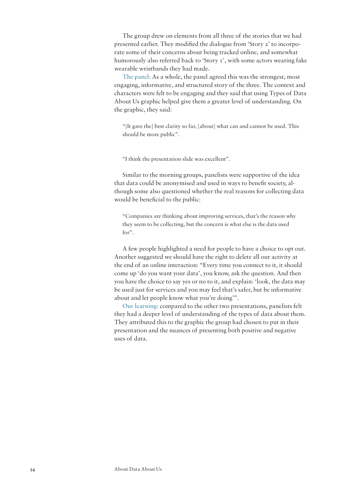The group drew on elements from all three of the stories that we had presented earlier. They modified the dialogue from 'Story 2' to incorporate some of their concerns about being tracked online, and somewhat humorously also referred back to 'Story 1', with some actors wearing fake wearable wristbands they had made.

**The panel:** As a whole, the panel agreed this was the strongest, most engaging, informative, and structured story of the three. The context and characters were felt to be engaging and they said that using Types of Data About Us graphic helped give them a greater level of understanding. On the graphic, they said:

"[It gave the] best clarity so far, [about] what can and cannot be used. This should be more public".

"I think the presentation slide was excellent".

Similar to the morning groups, panelists were supportive of the idea that data could be anonymised and used in ways to benefit society, although some also questioned whether the real reasons for collecting data would be beneficial to the public:

"Companies are thinking about improving services, that's the reason why they seem to be collecting, but the concern is what else is the data used for".

A few people highlighted a need for people to have a choice to opt out. Another suggested we should have the right to delete all our activity at the end of an online interaction: "Every time you connect to it, it should come up 'do you want your data', you know, ask the question. And then you have the choice to say yes or no to it, and explain: 'look, the data may be used just for services and you may feel that's safer, but be informative about and let people know what you're doing'".

**Our learning:** compared to the other two presentations, panelists felt they had a deeper level of understanding of the types of data about them. They attributed this to the graphic the group had chosen to put in their presentation and the nuances of presenting both positive and negative uses of data.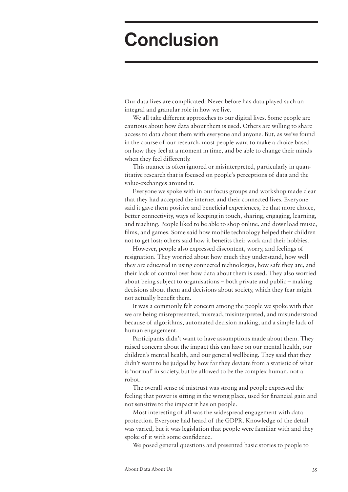# **Conclusion**

Our data lives are complicated. Never before has data played such an integral and granular role in how we live.

We all take different approaches to our digital lives. Some people are cautious about how data about them is used. Others are willing to share access to data about them with everyone and anyone. But, as we've found in the course of our research, most people want to make a choice based on how they feel at a moment in time, and be able to change their minds when they feel differently.

This nuance is often ignored or misinterpreted, particularly in quantitative research that is focused on people's perceptions of data and the value-exchanges around it.

Everyone we spoke with in our focus groups and workshop made clear that they had accepted the internet and their connected lives. Everyone said it gave them positive and beneficial experiences, be that more choice, better connectivity, ways of keeping in touch, sharing, engaging, learning, and teaching. People liked to be able to shop online, and download music, films, and games. Some said how mobile technology helped their children not to get lost; others said how it benefits their work and their hobbies.

However, people also expressed discontent, worry, and feelings of resignation. They worried about how much they understand, how well they are educated in using connected technologies, how safe they are, and their lack of control over how data about them is used. They also worried about being subject to organisations – both private and public – making decisions about them and decisions about society, which they fear might not actually benefit them.

It was a commonly felt concern among the people we spoke with that we are being misrepresented, misread, misinterpreted, and misunderstood because of algorithms, automated decision making, and a simple lack of human engagement.

Participants didn't want to have assumptions made about them. They raised concern about the impact this can have on our mental health, our children's mental health, and our general wellbeing. They said that they didn't want to be judged by how far they deviate from a statistic of what is 'normal' in society, but be allowed to be the complex human, not a robot.

The overall sense of mistrust was strong and people expressed the feeling that power is sitting in the wrong place, used for financial gain and not sensitive to the impact it has on people.

Most interesting of all was the widespread engagement with data protection. Everyone had heard of the GDPR. Knowledge of the detail was varied, but it was legislation that people were familiar with and they spoke of it with some confidence.

We posed general questions and presented basic stories to people to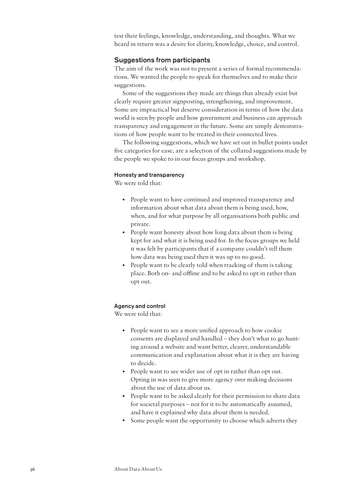test their feelings, knowledge, understanding, and thoughts. What we heard in return was a desire for clarity, knowledge, choice, and control.

### Suggestions from participants

The aim of the work was not to present a series of formal recommendations. We wanted the people to speak for themselves and to make their suggestions.

Some of the suggestions they made are things that already exist but clearly require greater signposting, strengthening, and improvement. Some are impractical but deserve consideration in terms of how the data world is seen by people and how government and business can approach transparency and engagement in the future. Some are simply demonstrations of how people want to be treated in their connected lives.

The following suggestions, which we have set out in bullet points under five categories for ease, are a selection of the collated suggestions made by the people we spoke to in our focus groups and workshop.

### Honesty and transparency

We were told that:

- People want to have continued and improved transparency and information about what data about them is being used, how, when, and for what purpose by all organisations both public and private.
- People want honesty about how long data about them is being kept for and what it is being used for. In the focus groups we held it was felt by participants that if a company couldn't tell them how data was being used then it was up to no good.
- People want to be clearly told when tracking of them is taking place. Both on- and offline and to be asked to opt in rather than opt out.

#### Agency and control

We were told that:

- People want to see a more unified approach to how cookie consents are displayed and handled – they don't what to go hunting around a website and want better, clearer, understandable communication and explanation about what it is they are having to decide.
- People want to see wider use of opt in rather than opt out. Opting in was seen to give more agency over making decisions about the use of data about us.
- People want to be asked clearly for their permission to share data for societal purposes – not for it to be automatically assumed, and have it explained why data about them is needed.
- Some people want the opportunity to choose which adverts they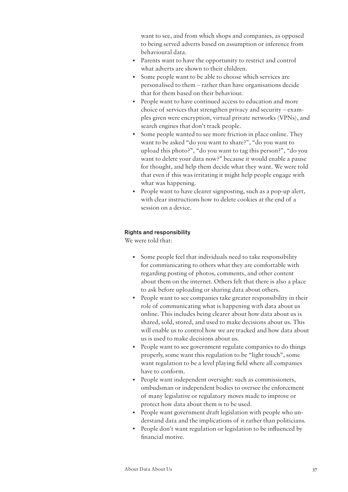want to see, and from which shops and companies, as opposed to being served adverts based on assumption or inference from behavioural data.

- Parents want to have the opportunity to restrict and control what adverts are shown to their children.
- Some people want to be able to choose which services are personalised to them – rather than have organisations decide that for them based on their behaviour.
- People want to have continued access to education and more choice of services that strengthen privacy and security – examples given were encryption, virtual private networks (VPNs), and search engines that don't track people.
- Some people wanted to see more friction in place online. They want to be asked "do you want to share?", "do you want to upload this photo?", "do you want to tag this person?", "do you want to delete your data now?" because it would enable a pause for thought, and help them decide what they want. We were told that even if this was irritating it might help people engage with what was happening.
- People want to have clearer signposting, such as a pop-up alert, with clear instructions how to delete cookies at the end of a session on a device.

## Rights and responsibility

We were told that:

- Some people feel that individuals need to take responsibility for communicating to others what they are comfortable with regarding posting of photos, comments, and other content about them on the internet. Others felt that there is also a place to ask before uploading or sharing data about others.
- People want to see companies take greater responsibility in their role of communicating what is happening with data about us online. This includes being clearer about how data about us is shared, sold, stored, and used to make decisions about us. This will enable us to control how we are tracked and how data about us is used to make decisions about us.
- People want to see government regulate companies to do things properly, some want this regulation to be "light touch", some want regulation to be a level playing field where all companies have to conform.
- People want independent oversight: such as commissioners, ombudsman or independent bodies to oversee the enforcement of many legislative or regulatory moves made to improve or protect how data about them is to be used.
- People want government draft legislation with people who understand data and the implications of it rather than politicians.
- People don't want regulation or legislation to be influenced by financial motive.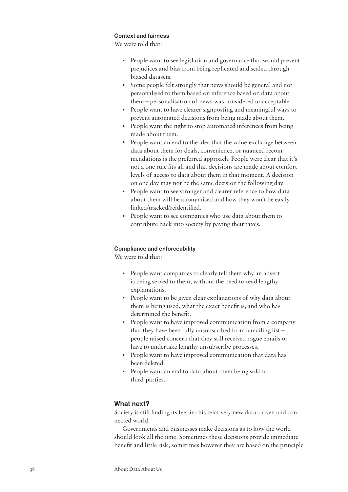### Context and fairness

We were told that:

- People want to see legislation and governance that would prevent prejudices and bias from being replicated and scaled through biased datasets.
- Some people felt strongly that news should be general and not personalised to them based on inference based on data about them – personalisation of news was considered unacceptable.
- People want to have clearer signposting and meaningful ways to prevent automated decisions from being made about them.
- People want the right to stop automated inferences from being made about them.
- People want an end to the idea that the value-exchange between data about them for deals, convenience, or nuanced recommendations is the preferred approach. People were clear that it's not a one rule fits all and that decisions are made about comfort levels of access to data about them in that moment. A decision on one day may not be the same decision the following day.
- People want to see stronger and clearer reference to how data about them will be anonymised and how they won't be easily linked/tracked/reidentified.
- People want to see companies who use data about them to contribute back into society by paying their taxes.

### Compliance and enforceability

We were told that:

- People want companies to clearly tell them why an advert is being served to them, without the need to read lengthy explanations.
- People want to be given clear explanations of why data about them is being used, what the exact benefit is, and who has determined the benefit.
- People want to have improved communication from a company that they have been fully unsubscribed from a mailing list – people raised concern that they still received rogue emails or have to undertake lengthy unsubscribe processes.
- People want to have improved communication that data has been deleted.
- People want an end to data about them being sold to third-parties.

### What next?

Society is still finding its feet in this relatively new data-driven and connected world.

Governments and businesses make decisions as to how the world should look all the time. Sometimes these decisions provide immediate benefit and little risk, sometimes however they are based on the principle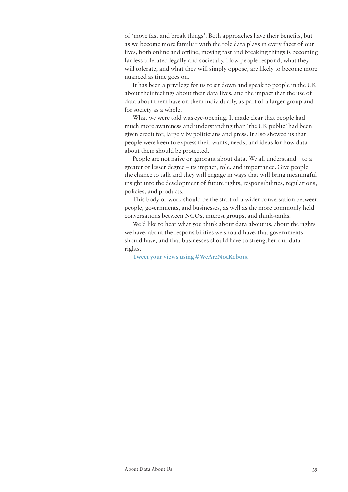of 'move fast and break things'. Both approaches have their benefits, but as we become more familiar with the role data plays in every facet of our lives, both online and offline, moving fast and breaking things is becoming far less tolerated legally and societally. How people respond, what they will tolerate, and what they will simply oppose, are likely to become more nuanced as time goes on.

It has been a privilege for us to sit down and speak to people in the UK about their feelings about their data lives, and the impact that the use of data about them have on them individually, as part of a larger group and for society as a whole.

What we were told was eye-opening. It made clear that people had much more awareness and understanding than 'the UK public' had been given credit for, largely by politicians and press. It also showed us that people were keen to express their wants, needs, and ideas for how data about them should be protected.

People are not naive or ignorant about data. We all understand – to a greater or lesser degree – its impact, role, and importance. Give people the chance to talk and they will engage in ways that will bring meaningful insight into the development of future rights, responsibilities, regulations, policies, and products.

This body of work should be the start of a wider conversation between people, governments, and businesses, as well as the more commonly held conversations between NGOs, interest groups, and think-tanks.

We'd like to hear what you think about data about us, about the rights we have, about the responsibilities we should have, that governments should have, and that businesses should have to strengthen our data rights.

**Tweet your views using #WeAreNotRobots.**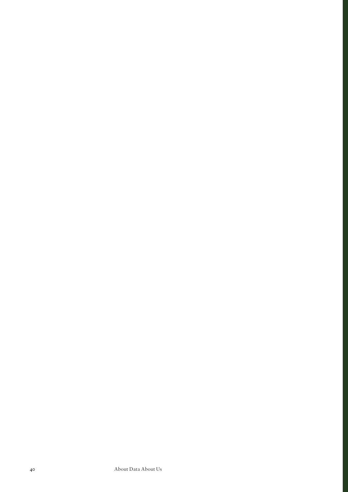About Data About Us